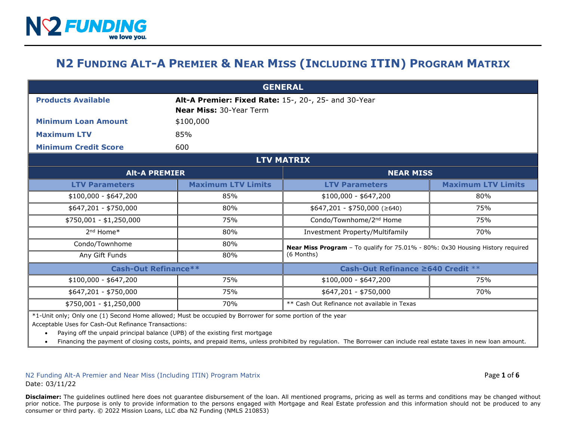## **N2 FUNDING ALT-A PREMIER & NEAR MISS (INCLUDING ITIN) PROGRAM MATRIX**

| <b>GENERAL</b>                                                                                            |                                                                                        |                                                                                              |                           |  |
|-----------------------------------------------------------------------------------------------------------|----------------------------------------------------------------------------------------|----------------------------------------------------------------------------------------------|---------------------------|--|
| <b>Products Available</b>                                                                                 | Alt-A Premier: Fixed Rate: 15-, 20-, 25- and 30-Year<br><b>Near Miss: 30-Year Term</b> |                                                                                              |                           |  |
| <b>Minimum Loan Amount</b>                                                                                | \$100,000                                                                              |                                                                                              |                           |  |
| <b>Maximum LTV</b>                                                                                        | 85%                                                                                    |                                                                                              |                           |  |
| <b>Minimum Credit Score</b>                                                                               | 600                                                                                    |                                                                                              |                           |  |
| <b>LTV MATRIX</b>                                                                                         |                                                                                        |                                                                                              |                           |  |
| <b>Alt-A PREMIER</b>                                                                                      |                                                                                        | <b>NEAR MISS</b>                                                                             |                           |  |
| <b>LTV Parameters</b>                                                                                     | <b>Maximum LTV Limits</b>                                                              | <b>LTV Parameters</b>                                                                        | <b>Maximum LTV Limits</b> |  |
| $$100,000 - $647,200$                                                                                     | 85%                                                                                    | $$100,000 - $647,200$                                                                        | 80%                       |  |
| $$647,201 - $750,000$                                                                                     | 80%                                                                                    | $$647,201 - $750,000 ($\geq$640)$                                                            | 75%                       |  |
| \$750,001 - \$1,250,000                                                                                   | 75%                                                                                    | Condo/Townhome/2 <sup>nd</sup> Home                                                          | 75%                       |  |
| 2 <sup>nd</sup> Home <sup>*</sup>                                                                         | 80%                                                                                    | Investment Property/Multifamily                                                              | 70%                       |  |
| Condo/Townhome                                                                                            | 80%                                                                                    | Near Miss Program - To qualify for 75.01% - 80%: 0x30 Housing History required<br>(6 Months) |                           |  |
| Any Gift Funds                                                                                            | 80%                                                                                    |                                                                                              |                           |  |
| <b>Cash-Out Refinance**</b>                                                                               |                                                                                        | Cash-Out Refinance ≥640 Credit **                                                            |                           |  |
| $$100,000 - $647,200$                                                                                     | 75%                                                                                    | $$100,000 - $647,200$                                                                        | 75%                       |  |
| $$647,201 - $750,000$                                                                                     | 75%                                                                                    | \$647,201 - \$750,000                                                                        | 70%                       |  |
| \$750,001 - \$1,250,000                                                                                   | 70%                                                                                    | ** Cash Out Refinance not available in Texas                                                 |                           |  |
| *1-Unit only; Only one (1) Second Home allowed; Must be occupied by Borrower for some portion of the year |                                                                                        |                                                                                              |                           |  |

Acceptable Uses for Cash-Out Refinance Transactions:

• Paying off the unpaid principal balance (UPB) of the existing first mortgage

• Financing the payment of closing costs, points, and prepaid items, unless prohibited by regulation. The Borrower can include real estate taxes in new loan amount.

N2 Funding Alt-A Premier and Near Miss (Including ITIN) Program Matrix Page **1** of **6** Date: 03/11/22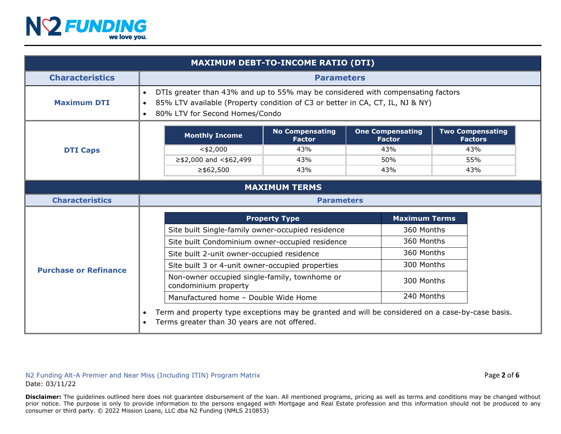

| <b>MAXIMUM DEBT-TO-INCOME RATIO (DTI)</b> |                                                                                                                                                                                                                                           |                                                   |                                          |                                           |
|-------------------------------------------|-------------------------------------------------------------------------------------------------------------------------------------------------------------------------------------------------------------------------------------------|---------------------------------------------------|------------------------------------------|-------------------------------------------|
| <b>Characteristics</b>                    | <b>Parameters</b>                                                                                                                                                                                                                         |                                                   |                                          |                                           |
| <b>Maximum DTI</b>                        | DTIs greater than 43% and up to 55% may be considered with compensating factors<br>$\bullet$<br>85% LTV available (Property condition of C3 or better in CA, CT, IL, NJ & NY)<br>$\bullet$<br>80% LTV for Second Homes/Condo<br>$\bullet$ |                                                   |                                          |                                           |
|                                           | <b>Monthly Income</b>                                                                                                                                                                                                                     | <b>No Compensating</b><br><b>Factor</b>           | <b>One Compensating</b><br><b>Factor</b> | <b>Two Compensating</b><br><b>Factors</b> |
| <b>DTI Caps</b>                           | $<$ \$2,000                                                                                                                                                                                                                               | 43%                                               | 43%                                      | 43%                                       |
|                                           | $\ge$ \$2,000 and <\$62,499                                                                                                                                                                                                               | 43%                                               | 50%                                      | 55%                                       |
|                                           | $≥$ \$62,500                                                                                                                                                                                                                              | 43%                                               | 43%                                      | 43%                                       |
| <b>MAXIMUM TERMS</b>                      |                                                                                                                                                                                                                                           |                                                   |                                          |                                           |
| <b>Characteristics</b>                    | <b>Parameters</b>                                                                                                                                                                                                                         |                                                   |                                          |                                           |
|                                           |                                                                                                                                                                                                                                           | <b>Property Type</b>                              | <b>Maximum Terms</b>                     |                                           |
|                                           |                                                                                                                                                                                                                                           | Site built Single-family owner-occupied residence |                                          | 360 Months                                |
| <b>Purchase or Refinance</b><br>$\bullet$ |                                                                                                                                                                                                                                           | Site built Condominium owner-occupied residence   |                                          | 360 Months                                |
|                                           |                                                                                                                                                                                                                                           | Site built 2-unit owner-occupied residence        |                                          | 360 Months                                |
|                                           |                                                                                                                                                                                                                                           | Site built 3 or 4-unit owner-occupied properties  |                                          | 300 Months                                |
|                                           | condominium property                                                                                                                                                                                                                      | Non-owner occupied single-family, townhome or     |                                          | 300 Months                                |
|                                           | Manufactured home - Double Wide Home                                                                                                                                                                                                      |                                                   | 240 Months                               |                                           |
|                                           | Term and property type exceptions may be granted and will be considered on a case-by-case basis.<br>Terms greater than 30 years are not offered.                                                                                          |                                                   |                                          |                                           |

N2 Funding Alt-A Premier and Near Miss (Including ITIN) Program Matrix **Page 2** of 6 and the state of 6 and the state of 6 and the state of 6 and the state of 6 and the state of 6 and the state of 6 and the state of 6 and Date: 03/11/22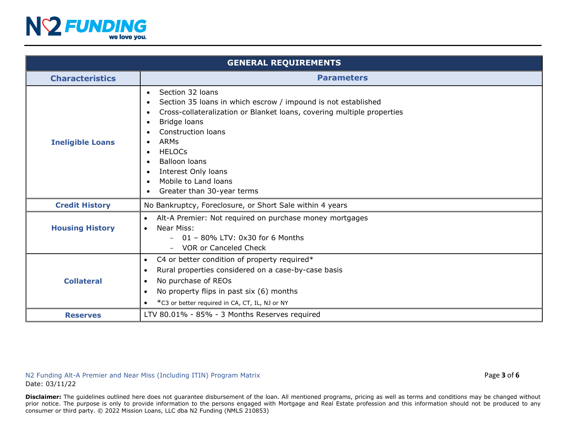

| <b>GENERAL REQUIREMENTS</b> |                                                                                                                                                                                                                                                                                                                                                                                                                             |  |
|-----------------------------|-----------------------------------------------------------------------------------------------------------------------------------------------------------------------------------------------------------------------------------------------------------------------------------------------------------------------------------------------------------------------------------------------------------------------------|--|
| <b>Characteristics</b>      | <b>Parameters</b>                                                                                                                                                                                                                                                                                                                                                                                                           |  |
| <b>Ineligible Loans</b>     | Section 32 loans<br>$\bullet$<br>Section 35 loans in which escrow / impound is not established<br>Cross-collateralization or Blanket loans, covering multiple properties<br>Bridge loans<br>$\bullet$<br><b>Construction loans</b><br><b>ARMs</b><br>$\bullet$<br><b>HELOCS</b><br><b>Balloon loans</b><br>$\bullet$<br>Interest Only loans<br>$\bullet$<br>Mobile to Land loans<br>$\bullet$<br>Greater than 30-year terms |  |
| <b>Credit History</b>       | No Bankruptcy, Foreclosure, or Short Sale within 4 years                                                                                                                                                                                                                                                                                                                                                                    |  |
| <b>Housing History</b>      | Alt-A Premier: Not required on purchase money mortgages<br>$\bullet$<br>Near Miss:<br>$\bullet$<br>$-01 - 80\%$ LTV: 0x30 for 6 Months<br><b>VOR or Canceled Check</b>                                                                                                                                                                                                                                                      |  |
| <b>Collateral</b>           | C4 or better condition of property required*<br>$\bullet$<br>Rural properties considered on a case-by-case basis<br>$\bullet$<br>No purchase of REOs<br>$\bullet$<br>No property flips in past six (6) months<br>$\bullet$<br>*C3 or better required in CA, CT, IL, NJ or NY<br>$\bullet$                                                                                                                                   |  |
| <b>Reserves</b>             | LTV 80.01% - 85% - 3 Months Reserves required                                                                                                                                                                                                                                                                                                                                                                               |  |

N2 Funding Alt-A Premier and Near Miss (Including ITIN) Program Matrix **Page 3** of 6 and  $P$  and  $P$  and  $P$  and  $P$  and  $P$  and  $P$  and  $P$  and  $P$  and  $P$  and  $P$  and  $P$  and  $P$  and  $P$  and  $P$  and  $P$  and  $P$  and  $P$  a Date: 03/11/22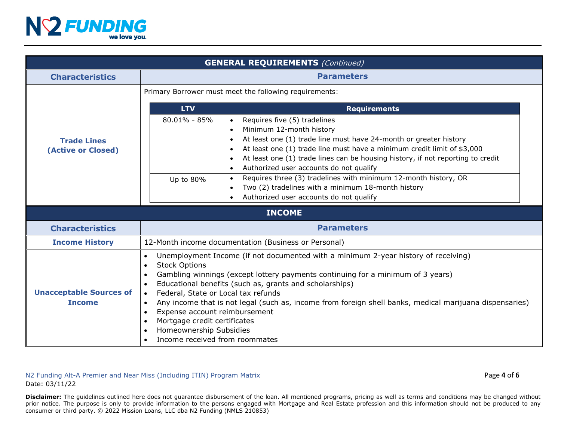

| <b>GENERAL REQUIREMENTS (Continued)</b>         |                                                                                                                                                                                                                                                                                                                                                                                                                                                                                                                                                                                                                                                               |  |
|-------------------------------------------------|---------------------------------------------------------------------------------------------------------------------------------------------------------------------------------------------------------------------------------------------------------------------------------------------------------------------------------------------------------------------------------------------------------------------------------------------------------------------------------------------------------------------------------------------------------------------------------------------------------------------------------------------------------------|--|
| <b>Characteristics</b>                          | <b>Parameters</b>                                                                                                                                                                                                                                                                                                                                                                                                                                                                                                                                                                                                                                             |  |
|                                                 | Primary Borrower must meet the following requirements:                                                                                                                                                                                                                                                                                                                                                                                                                                                                                                                                                                                                        |  |
| <b>Trade Lines</b><br>(Active or Closed)        | <b>Requirements</b><br><b>LTV</b>                                                                                                                                                                                                                                                                                                                                                                                                                                                                                                                                                                                                                             |  |
|                                                 | $80.01\% - 85\%$<br>Requires five (5) tradelines<br>$\bullet$<br>Minimum 12-month history<br>At least one (1) trade line must have 24-month or greater history<br>$\bullet$<br>At least one (1) trade line must have a minimum credit limit of \$3,000<br>$\bullet$<br>At least one (1) trade lines can be housing history, if not reporting to credit<br>$\bullet$<br>Authorized user accounts do not qualify<br>$\bullet$<br>Requires three (3) tradelines with minimum 12-month history, OR<br>Up to 80%<br>$\bullet$<br>Two (2) tradelines with a minimum 18-month history<br>$\bullet$<br>Authorized user accounts do not qualify                        |  |
|                                                 | <b>INCOME</b>                                                                                                                                                                                                                                                                                                                                                                                                                                                                                                                                                                                                                                                 |  |
| <b>Characteristics</b>                          | <b>Parameters</b>                                                                                                                                                                                                                                                                                                                                                                                                                                                                                                                                                                                                                                             |  |
| <b>Income History</b>                           | 12-Month income documentation (Business or Personal)                                                                                                                                                                                                                                                                                                                                                                                                                                                                                                                                                                                                          |  |
| <b>Unacceptable Sources of</b><br><b>Income</b> | Unemployment Income (if not documented with a minimum 2-year history of receiving)<br>$\bullet$<br><b>Stock Options</b><br>$\bullet$<br>Gambling winnings (except lottery payments continuing for a minimum of 3 years)<br>$\bullet$<br>Educational benefits (such as, grants and scholarships)<br>$\bullet$<br>Federal, State or Local tax refunds<br>$\bullet$<br>Any income that is not legal (such as, income from foreign shell banks, medical marijuana dispensaries)<br>$\bullet$<br>Expense account reimbursement<br>$\bullet$<br>Mortgage credit certificates<br>$\bullet$<br>Homeownership Subsidies<br>$\bullet$<br>Income received from roommates |  |

N2 Funding Alt-A Premier and Near Miss (Including ITIN) Program Matrix **Page 4** of 6 and  $P$  and  $P$  and  $P$  and  $P$  and  $P$  and  $P$  and  $P$  and  $P$  and  $P$  and  $P$  and  $P$  and  $P$  and  $P$  and  $P$  and  $P$  and  $P$  and  $P$  a Date: 03/11/22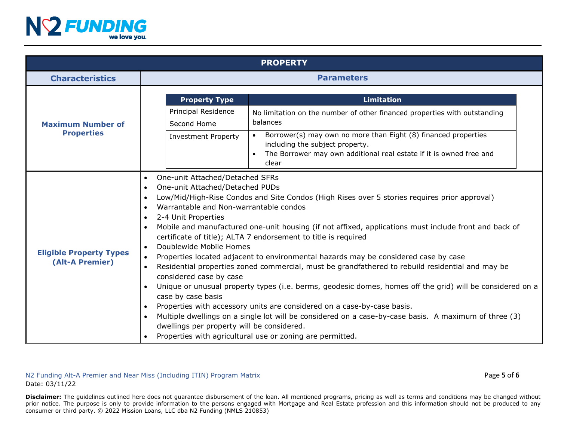

| <b>PROPERTY</b>                                   |                                                                                                                                                                                                                                                                                                                                                                                                                                                                                                                                                                                                                                                                                                                                                                                                                                                                                                                                                                                                                                                                                                                                                                        |                                                                                                                                                                                                                                                                                                 |  |
|---------------------------------------------------|------------------------------------------------------------------------------------------------------------------------------------------------------------------------------------------------------------------------------------------------------------------------------------------------------------------------------------------------------------------------------------------------------------------------------------------------------------------------------------------------------------------------------------------------------------------------------------------------------------------------------------------------------------------------------------------------------------------------------------------------------------------------------------------------------------------------------------------------------------------------------------------------------------------------------------------------------------------------------------------------------------------------------------------------------------------------------------------------------------------------------------------------------------------------|-------------------------------------------------------------------------------------------------------------------------------------------------------------------------------------------------------------------------------------------------------------------------------------------------|--|
| <b>Characteristics</b>                            | <b>Parameters</b>                                                                                                                                                                                                                                                                                                                                                                                                                                                                                                                                                                                                                                                                                                                                                                                                                                                                                                                                                                                                                                                                                                                                                      |                                                                                                                                                                                                                                                                                                 |  |
| <b>Maximum Number of</b><br><b>Properties</b>     | <b>Property Type</b><br>Principal Residence<br>Second Home<br><b>Investment Property</b>                                                                                                                                                                                                                                                                                                                                                                                                                                                                                                                                                                                                                                                                                                                                                                                                                                                                                                                                                                                                                                                                               | <b>Limitation</b><br>No limitation on the number of other financed properties with outstanding<br>balances<br>Borrower(s) may own no more than Eight (8) financed properties<br>including the subject property.<br>The Borrower may own additional real estate if it is owned free and<br>clear |  |
| <b>Eligible Property Types</b><br>(Alt-A Premier) | One-unit Attached/Detached SFRs<br>$\bullet$<br>One-unit Attached/Detached PUDs<br>$\bullet$<br>Low/Mid/High-Rise Condos and Site Condos (High Rises over 5 stories requires prior approval)<br>$\bullet$<br>Warrantable and Non-warrantable condos<br>$\bullet$<br>2-4 Unit Properties<br>$\bullet$<br>Mobile and manufactured one-unit housing (if not affixed, applications must include front and back of<br>$\bullet$<br>certificate of title); ALTA 7 endorsement to title is required<br>Doublewide Mobile Homes<br>Properties located adjacent to environmental hazards may be considered case by case<br>$\bullet$<br>Residential properties zoned commercial, must be grandfathered to rebuild residential and may be<br>considered case by case<br>Unique or unusual property types (i.e. berms, geodesic domes, homes off the grid) will be considered on a<br>$\bullet$<br>case by case basis<br>Properties with accessory units are considered on a case-by-case basis.<br>$\bullet$<br>Multiple dwellings on a single lot will be considered on a case-by-case basis. A maximum of three (3)<br>$\bullet$<br>dwellings per property will be considered. |                                                                                                                                                                                                                                                                                                 |  |

N2 Funding Alt-A Premier and Near Miss (Including ITIN) Program Matrix **Page 5** of **6** and **Page 5** of **6** and **Page 5** of **6** and **Page 5** of **6** and **Page 5** of **6** and **Page 1** and **Page 1** and **Page 1** and **Page 1** and Date: 03/11/22